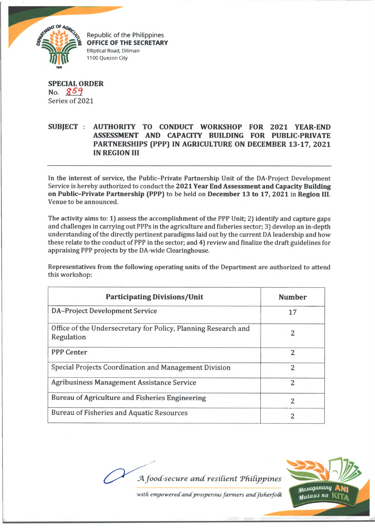

Republic of the Philippines **OFFICE OF THE SECRETARY Elliptical Road, Diliman 1100 Quezon City**

**SPECIAL ORDER** No. 859 Series of 2021

## **SUBJECT : AUTHORITY TO CONDUCT WORKSHOP FOR 2021 YEAR-END ASSESSMENT AND CAPACITY BUILDING FOR PUBLIC-PRIVATE PARTNERSHIPS (PPP) IN AGRICULTURE ON DECEMBER 13-17, 2021 IN REGION III**

In the interest of service, the Public-Private Partnership Unit of the DA-Project Development Service is hereby authorized to conduct the **2021 Year End Assessment and Capacity Building on Public-Private Partnership (PPP)** to be held on **December 13 to 17, 2021** in **Region III.** Venue to be announced.

The activity aims to: 1) assess the accomplishment of the PPP Unit; 2) identify and capture gaps and challenges in carrying out PPPs in the agriculture and fisheries sector; 3) develop an in-depth understanding of the directly pertinent paradigms laid out by the current DA leadership and how these relate to the conduct of PPP in the sector; and 4) review and finalize the draft guidelines for appraising PPP projects by the DA-wide Clearinghouse.

Representatives from the following operating units of the Department are authorized to attend this workshop:

| <b>Participating Divisions/Unit</b>                                          | <b>Number</b>  |
|------------------------------------------------------------------------------|----------------|
| <b>DA-Project Development Service</b>                                        | 17             |
| Office of the Undersecretary for Policy, Planning Research and<br>Regulation | 2              |
| <b>PPP Center</b>                                                            | 2              |
| Special Projects Coordination and Management Division                        | 2              |
| <b>Agribusiness Management Assistance Service</b>                            | $\overline{c}$ |
| Bureau of Agriculture and Fisheries Engineering                              | $\mathcal{P}$  |
| <b>Bureau of Fisheries and Aquatic Resources</b>                             | 2              |

*A food-secure and resilient Philippines* 



with empowered and prosperous farmers and fisherfolk